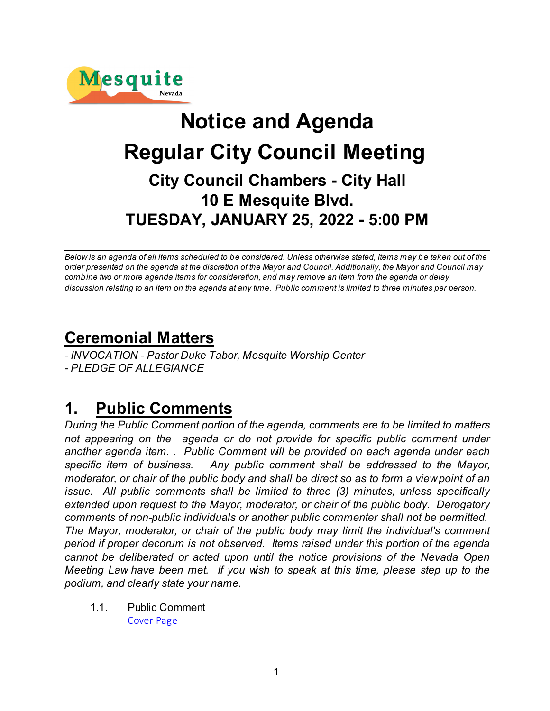

# **Notice and Agenda Regular City Council Meeting City Council Chambers - City Hall 10 E Mesquite Blvd. TUESDAY, JANUARY 25, 2022 - 5:00 PM**

*Below is an agenda of all items scheduled to be considered. Unless otherwise stated, items may be taken out of the order presented on the agenda at the discretion of the Mayor and Council. Additionally, the Mayor and Council may combine two or more agenda items for consideration, and may remove an item from the agenda or delay discussion relating to an item on the agenda at any time. Public comment is limited to three minutes per person.*

## **Ceremonial Matters**

*- INVOCATION - Pastor Duke Tabor, Mesquite Worship Center - PLEDGE OF ALLEGIANCE* 

## **1. Public Comments**

*During the Public Comment portion of the agenda, comments are to be limited to matters not appearing on the agenda or do not provide for specific public comment under another agenda item. . Public Comment will be provided on each agenda under each specific item of business. Any public comment shall be addressed to the Mayor, moderator, or chair of the public body and shall be direct so as to form a view point of an issue. All public comments shall be limited to three (3) minutes, unless specifically extended upon request to the Mayor, moderator, or chair of the public body. Derogatory comments of non-public individuals or another public commenter shall not be permitted. The Mayor, moderator, or chair of the public body may limit the individual's comment period if proper decorum is not observed. Items raised under this portion of the agenda cannot be deliberated or acted upon until the notice provisions of the Nevada Open Meeting Law have been met. If you wish to speak at this time, please step up to the podium, and clearly state your name.*

1.1. Public Comment [Cover Page](https://legistarweb-production.s3.amazonaws.com/uploads/attachment/pdf/1213147/9e94af95013225016247ab874a308df20.pdf)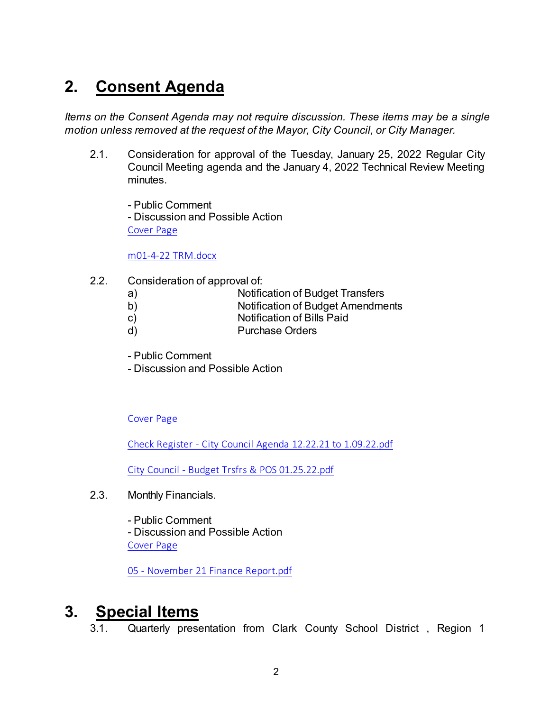## **2. Consent Agenda**

*Items on the Consent Agenda may not require discussion. These items may be a single motion unless removed at the request of the Mayor, City Council, or City Manager.* 

2.1. Consideration for approval of the Tuesday, January 25, 2022 Regular City Council Meeting agenda and the January 4, 2022 Technical Review Meeting minutes.

- Public Comment - Discussion and Possible Action [Cover Page](https://legistarweb-production.s3.amazonaws.com/uploads/attachment/pdf/1213165/e2e1be0879aedebb019200f9dfcfd99c0.pdf)

[m01-4-22 TRM.docx](https://legistarweb-production.s3.amazonaws.com/uploads/attachment/pdf/1203204/m01-4-22_TRM.pdf)

- 2.2. Consideration of approval of:
	- a) Notification of Budget Transfers
	- b) Notification of Budget Amendments
	- c) Notification of Bills Paid
	- d) Purchase Orders
	- Public Comment
	- Discussion and Possible Action

[Cover Page](https://legistarweb-production.s3.amazonaws.com/uploads/attachment/pdf/1213187/86fb4040300f0fbb9feff2326c7fbce90.pdf)

[Check Register - City Council Agenda 12.22.21 to 1.09.22.pdf](https://legistarweb-production.s3.amazonaws.com/uploads/attachment/pdf/1213182/Check_Register_-_City_Council_Agenda_12.22.21_to_1.09.22.pdf)

[City Council - Budget Trsfrs & POS 01.25.22.pdf](https://legistarweb-production.s3.amazonaws.com/uploads/attachment/pdf/1213183/City_Council_-_Budget_Trsfrs___POS_01.25.22.pdf)

2.3. Monthly Financials.

- Public Comment - Discussion and Possible Action [Cover Page](https://legistarweb-production.s3.amazonaws.com/uploads/attachment/pdf/1214434/ad9f15dd58213ba236bc98c35c99bcc60.pdf)

[05 - November 21 Finance Report.pdf](https://legistarweb-production.s3.amazonaws.com/uploads/attachment/pdf/1214215/05_-_November_21_Finance_Report.pdf)

## **3. Special Items**

3.1. Quarterly presentation from Clark County School District , Region 1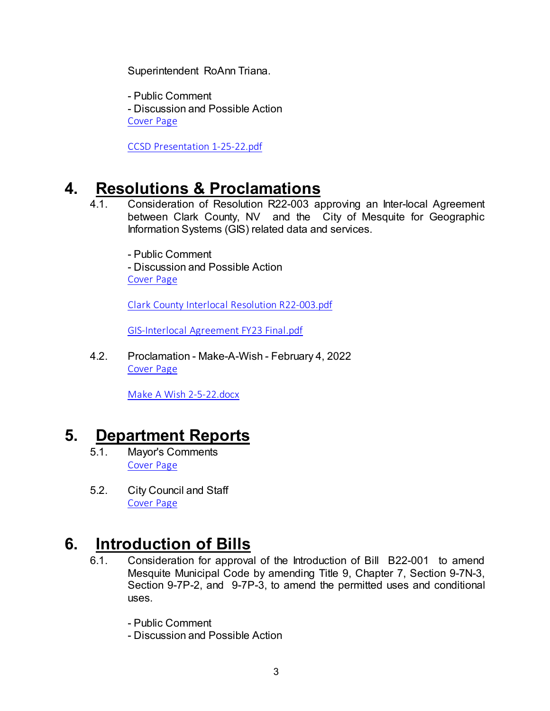Superintendent RoAnn Triana.

- Public Comment - Discussion and Possible Action [Cover Page](https://legistarweb-production.s3.amazonaws.com/uploads/attachment/pdf/1213214/1f198a6d753a07581c299a810f592f8d0.pdf)

[CCSD Presentation 1-25-22.pdf](https://legistarweb-production.s3.amazonaws.com/uploads/attachment/pdf/1213204/CCSD_Presentation_1-25-22.pdf)

## **4. Resolutions & Proclamations**

4.1. Consideration of Resolution R22-003 approving an Inter-local Agreement between Clark County, NV and the City of Mesquite for Geographic Information Systems (GIS) related data and services.

- Public Comment - Discussion and Possible Action [Cover Page](https://legistarweb-production.s3.amazonaws.com/uploads/attachment/pdf/1213232/8816fa6545a6aa0481964cf6e47c7c320.pdf)

[Clark County Interlocal Resolution R22-003.pdf](https://legistarweb-production.s3.amazonaws.com/uploads/attachment/pdf/1213228/Clark_County_Interlocal_Resolution_R22-003.pdf)

[GIS-Interlocal Agreement FY23 Final.pdf](https://legistarweb-production.s3.amazonaws.com/uploads/attachment/pdf/1213229/GIS-Interlocal_Agreement_FY23_Final.pdf)

4.2. Proclamation - Make-A-Wish - February 4, 2022 [Cover Page](https://legistarweb-production.s3.amazonaws.com/uploads/attachment/pdf/1214672/b36a8a6220e020493b7d3cc0d47806c30.pdf)

[Make A Wish 2-5-22.docx](https://legistarweb-production.s3.amazonaws.com/uploads/attachment/pdf/1214670/Make_A_Wish_2-5-22.pdf)

## **5. Department Reports**

- 5.1. Mayor's Comments [Cover Page](https://legistarweb-production.s3.amazonaws.com/uploads/attachment/pdf/1214443/d8a5c2a875ea18a7563e7b78223d22cb0.pdf)
- 5.2. City Council and Staff [Cover Page](https://legistarweb-production.s3.amazonaws.com/uploads/attachment/pdf/1214456/f4087258a87afe511fc12f4c2add5c9d0.pdf)

## **6. Introduction of Bills**

- 6.1. Consideration for approval of the Introduction of Bill B22-001 to amend Mesquite Municipal Code by amending Title 9, Chapter 7, Section 9-7N-3, Section 9-7P-2, and 9-7P-3, to amend the permitted uses and conditional uses.
	- Public Comment
	- Discussion and Possible Action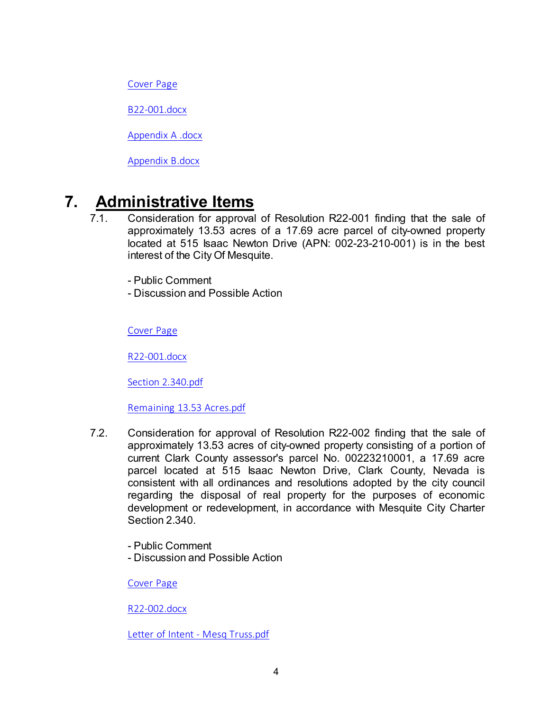[Cover Page](https://legistarweb-production.s3.amazonaws.com/uploads/attachment/pdf/1214467/33042102195ac6fa1d7d89f1e72a1ce10.pdf)

[B22-001.docx](https://legistarweb-production.s3.amazonaws.com/uploads/attachment/pdf/1214462/BILL22-001.pdf)

[Appendix A .docx](https://legistarweb-production.s3.amazonaws.com/uploads/attachment/pdf/1214463/Appendix_A_.pdf)

[Appendix B.docx](https://legistarweb-production.s3.amazonaws.com/uploads/attachment/pdf/1214464/Appendix_B.pdf)

## **7. Administrative Items**

- 7.1. Consideration for approval of Resolution R22-001 finding that the sale of approximately 13.53 acres of a 17.69 acre parcel of city-owned property located at 515 Isaac Newton Drive (APN: 002-23-210-001) is in the best interest of the City Of Mesquite.
	- Public Comment
	- Discussion and Possible Action

[Cover Page](https://legistarweb-production.s3.amazonaws.com/uploads/attachment/pdf/1214734/0656045354830d3333bc453763647fce0.pdf)

[R22-001.docx](https://legistarweb-production.s3.amazonaws.com/uploads/attachment/pdf/1214733/R22-001.pdf)

[Section 2.340.pdf](https://legistarweb-production.s3.amazonaws.com/uploads/attachment/pdf/1213442/Section_2.340.pdf)

[Remaining 13.53 Acres.pdf](https://legistarweb-production.s3.amazonaws.com/uploads/attachment/pdf/1213443/Remaining_13.53_Acres.pdf)

- 7.2. Consideration for approval of Resolution R22-002 finding that the sale of approximately 13.53 acres of city-owned property consisting of a portion of current Clark County assessor's parcel No. 00223210001, a 17.69 acre parcel located at 515 Isaac Newton Drive, Clark County, Nevada is consistent with all ordinances and resolutions adopted by the city council regarding the disposal of real property for the purposes of economic development or redevelopment, in accordance with Mesquite City Charter Section 2.340.
	- Public Comment
	- Discussion and Possible Action

[Cover Page](https://legistarweb-production.s3.amazonaws.com/uploads/attachment/pdf/1214764/646d0eb8105054de832d44594657a0910.pdf)

[R22-002.docx](https://legistarweb-production.s3.amazonaws.com/uploads/attachment/pdf/1214740/R22-002.pdf)

[Letter of Intent - Mesq Truss.pdf](https://legistarweb-production.s3.amazonaws.com/uploads/attachment/pdf/1214741/Letter_of_Intent_-_Mesq_Truss.pdf)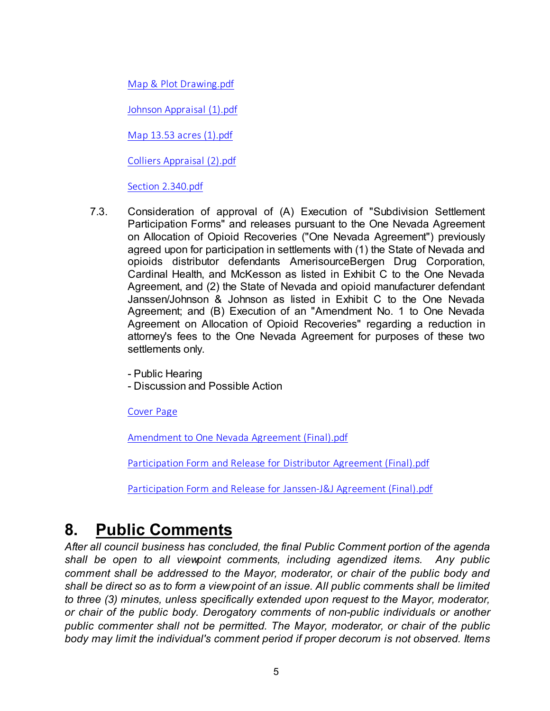[Map & Plot Drawing.pdf](https://legistarweb-production.s3.amazonaws.com/uploads/attachment/pdf/1214742/Map___Plot_Drawing.pdf)

[Johnson Appraisal \(1\).pdf](https://legistarweb-production.s3.amazonaws.com/uploads/attachment/pdf/1214747/Johnson_Appraisal__1_.pdf)

[Map 13.53 acres \(1\).pdf](https://legistarweb-production.s3.amazonaws.com/uploads/attachment/pdf/1214753/Map_13.53_acres__1_.pdf)

[Colliers Appraisal \(2\).pdf](https://legistarweb-production.s3.amazonaws.com/uploads/attachment/pdf/1214760/Colliers_Appraisal__2_.pdf)

[Section 2.340.pdf](https://legistarweb-production.s3.amazonaws.com/uploads/attachment/pdf/1214761/Section_2.340.pdf)

7.3. Consideration of approval of (A) Execution of "Subdivision Settlement Participation Forms" and releases pursuant to the One Nevada Agreement on Allocation of Opioid Recoveries ("One Nevada Agreement") previously agreed upon for participation in settlements with (1) the State of Nevada and opioids distributor defendants AmerisourceBergen Drug Corporation, Cardinal Health, and McKesson as listed in Exhibit C to the One Nevada Agreement, and (2) the State of Nevada and opioid manufacturer defendant Janssen/Johnson & Johnson as listed in Exhibit C to the One Nevada Agreement; and (B) Execution of an "Amendment No. 1 to One Nevada Agreement on Allocation of Opioid Recoveries" regarding a reduction in attorney's fees to the One Nevada Agreement for purposes of these two settlements only.

- Public Hearing

- Discussion and Possible Action

[Cover Page](https://legistarweb-production.s3.amazonaws.com/uploads/attachment/pdf/1214489/7be0b434e7b0afd5755be8741e7fa8a50.pdf)

[Amendment to One Nevada Agreement \(Final\).pdf](https://legistarweb-production.s3.amazonaws.com/uploads/attachment/pdf/1214484/Amendment_to_One_Nevada_Agreement__Final_.pdf)

[Participation Form and Release for Distributor Agreement \(Final\).pdf](https://legistarweb-production.s3.amazonaws.com/uploads/attachment/pdf/1214485/Participation_Form_and_Release_for_Distributor_Agreement__Final_.pdf)

[Participation Form and Release for Janssen-J&J Agreement \(Final\).pdf](https://legistarweb-production.s3.amazonaws.com/uploads/attachment/pdf/1214486/Participation_Form_and_Release_for_Janssen-J_J_Agreement__Final_.pdf)

## **8. Public Comments**

*After all council business has concluded, the final Public Comment portion of the agenda shall be open to all viewpoint comments, including agendized items. Any public comment shall be addressed to the Mayor, moderator, or chair of the public body and shall be direct so as to form a view point of an issue. All public comments shall be limited to three (3) minutes, unless specifically extended upon request to the Mayor, moderator, or chair of the public body. Derogatory comments of non-public individuals or another public commenter shall not be permitted. The Mayor, moderator, or chair of the public body may limit the individual's comment period if proper decorum is not observed. Items*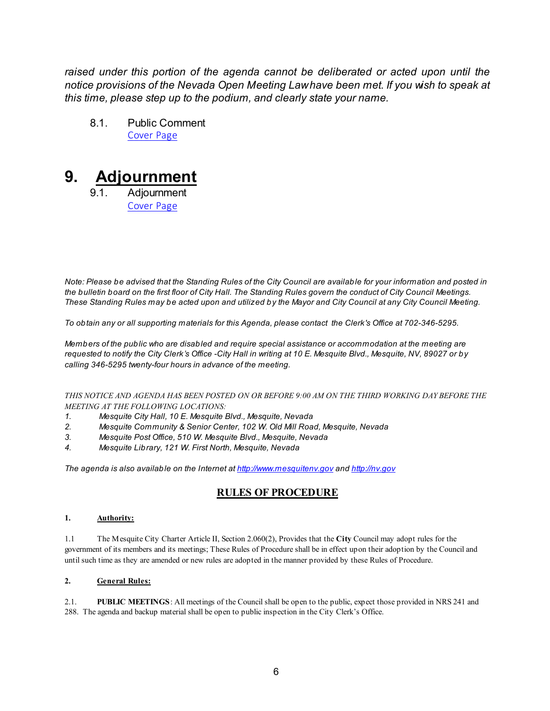*raised under this portion of the agenda cannot be deliberated or acted upon until the notice provisions of the Nevada Open Meeting Law have been met. If you wish to speak at this time, please step up to the podium, and clearly state your name.*

8.1. Public Comment [Cover Page](https://legistarweb-production.s3.amazonaws.com/uploads/attachment/pdf/1213148/9e94af95013225016247ab874a308df20.pdf)

## **9. Adjournment**

9.1. Adjournment [Cover Page](https://legistarweb-production.s3.amazonaws.com/uploads/attachment/pdf/1214560/664ddc3fbb253b91497fe34c01bdc72d0.pdf)

*Note: Please be advised that the Standing Rules of the City Council are available for your information and posted in the bulletin board on the first floor of City Hall. The Standing Rules govern the conduct of City Council Meetings. These Standing Rules may be acted upon and utilized by the Mayor and City Council at any City Council Meeting.*

*To obtain any or all supporting materials for this Agenda, please contact the Clerk's Office at 702-346-5295.*

*Members of the public who are disabled and require special assistance or accommodation at the meeting are requested to notify the City Clerk's Office -City Hall in writing at 10 E. Mesquite Blvd., Mesquite, NV, 89027 or by calling 346-5295 twenty-four hours in advance of the meeting.*

### *THIS NOTICE AND AGENDA HAS BEEN POSTED ON OR BEFORE 9:00 AM ON THE THIRD WORKING DAY BEFORE THE MEETING AT THE FOLLOWING LOCATIONS:*

- *1. Mesquite City Hall, 10 E. Mesquite Blvd., Mesquite, Nevada*
- *2. Mesquite Community & Senior Center, 102 W. Old Mill Road, Mesquite, Nevada*
- *3. Mesquite Post Office, 510 W. Mesquite Blvd., Mesquite, Nevada*
- *4. Mesquite Library, 121 W. First North, Mesquite, Nevada*

*The agenda is also available on the Internet at<http://www.mesquitenv.gov> and [http://nv.gov](http://nv.gov/)*

### **RULES OF PROCEDURE**

### **1. Authority:**

1.1 The Mesquite City Charter Article II, Section 2.060(2), Provides that the **City** Council may adopt rules for the government of its members and its meetings; These Rules of Procedure shall be in effect upon their adoption by the Council and until such time as they are amended or new rules are adopted in the manner provided by these Rules of Procedure.

### **2. General Rules:**

2.1. **PUBLIC MEETINGS**: All meetings of the Council shall be open to the public, expect those provided in NRS 241 and 288. The agenda and backup material shall be open to public inspection in the City Clerk's Office.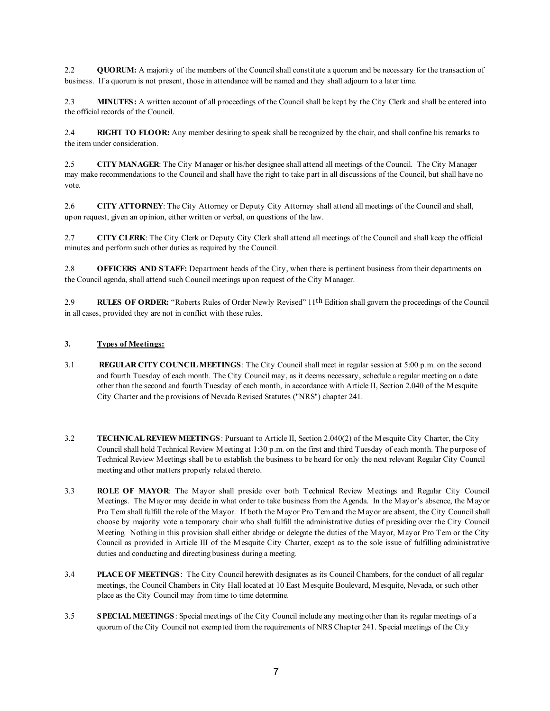2.2 **QUORUM:** A majority of the members of the Council shall constitute a quorum and be necessary for the transaction of business. If a quorum is not present, those in attendance will be named and they shall adjourn to a later time.

2.3 **MINUTES:** A written account of all proceedings of the Council shall be kept by the City Clerk and shall be entered into the official records of the Council.

2.4 **RIGHT TO FLOOR:** Any member desiring to speak shall be recognized by the chair, and shall confine his remarks to the item under consideration.

2.5 **CITY MANAGER**: The City Manager or his/her designee shall attend all meetings of the Council. The City Manager may make recommendations to the Council and shall have the right to take part in all discussions of the Council, but shall have no vote.

2.6 **CITY ATTORNEY**: The City Attorney or Deputy City Attorney shall attend all meetings of the Council and shall, upon request, given an opinion, either written or verbal, on questions of the law.

2.7 **CITY CLERK**: The City Clerk or Deputy City Clerk shall attend all meetings of the Council and shall keep the official minutes and perform such other duties as required by the Council.

2.8 **OFFICERS AND STAFF:** Department heads of the City, when there is pertinent business from their departments on the Council agenda, shall attend such Council meetings upon request of the City Manager.

2.9 **RULES OF ORDER:** "Roberts Rules of Order Newly Revised" 11th Edition shall govern the proceedings of the Council in all cases, provided they are not in conflict with these rules.

### **3. Types of Meetings:**

- 3.1 **REGULAR CITY COUNCIL MEETINGS**: The City Council shall meet in regular session at 5:00 p.m. on the second and fourth Tuesday of each month. The City Council may, as it deems necessary, schedule a regular meeting on a date other than the second and fourth Tuesday of each month, in accordance with Article II, Section 2.040 of the Mesquite City Charter and the provisions of Nevada Revised Statutes ("NRS") chapter 241.
- 3.2 **TECHNICAL REVIEW MEETINGS**: Pursuant to Article II, Section 2.040(2) of the Mesquite City Charter, the City Council shall hold Technical Review Meeting at 1:30 p.m. on the first and third Tuesday of each month. The purpose of Technical Review Meetings shall be to establish the business to be heard for only the next relevant Regular City Council meeting and other matters properly related thereto.
- 3.3 **ROLE OF MAYOR**: The Mayor shall preside over both Technical Review Meetings and Regular City Council Meetings. The Mayor may decide in what order to take business from the Agenda. In the Mayor's absence, the Mayor Pro Tem shall fulfill the role of the Mayor. If both the Mayor Pro Tem and the Mayor are absent, the City Council shall choose by majority vote a temporary chair who shall fulfill the administrative duties of presiding over the City Council Meeting. Nothing in this provision shall either abridge or delegate the duties of the Mayor, Mayor Pro Tem or the City Council as provided in Article III of the Mesquite City Charter, except as to the sole issue of fulfilling administrative duties and conducting and directing business during a meeting.
- 3.4 **PLACE OF MEETINGS**: The City Council herewith designates as its Council Chambers, for the conduct of all regular meetings, the Council Chambers in City Hall located at 10 East Mesquite Boulevard, Mesquite, Nevada, or such other place as the City Council may from time to time determine.
- 3.5 **SPECIAL MEETINGS**: Special meetings of the City Council include any meeting other than its regular meetings of a quorum of the City Council not exempted from the requirements of NRS Chapter 241. Special meetings of the City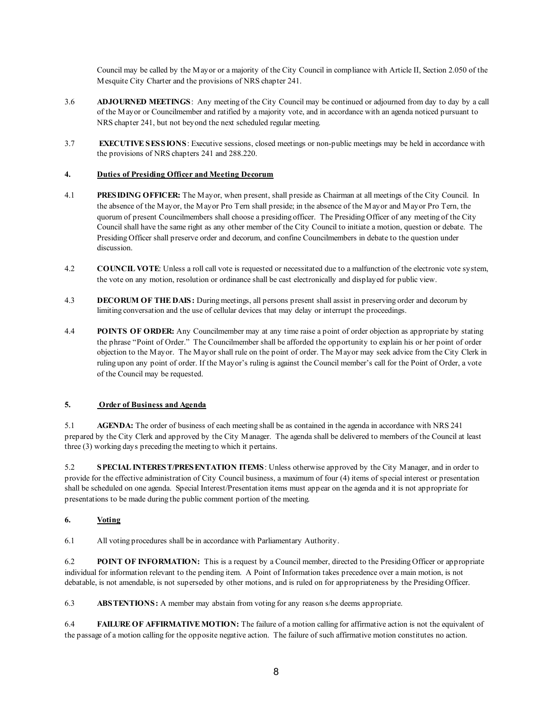Council may be called by the Mayor or a majority of the City Council in compliance with Article II, Section 2.050 of the Mesquite City Charter and the provisions of NRS chapter 241.

- 3.6 **ADJOURNED MEETINGS**: Any meeting of the City Council may be continued or adjourned from day to day by a call of the Mayor or Councilmember and ratified by a majority vote, and in accordance with an agenda noticed pursuant to NRS chapter 241, but not beyond the next scheduled regular meeting.
- 3.7 **EXECUTIVE SESSIONS**: Executive sessions, closed meetings or non-public meetings may be held in accordance with the provisions of NRS chapters 241 and 288.220.

### **4. Duties of Presiding Officer and Meeting Decorum**

- 4.1 **PRESIDING OFFICER:** The Mayor, when present, shall preside as Chairman at all meetings of the City Council. In the absence of the Mayor, the Mayor Pro Tern shall preside; in the absence of the Mayor and Mayor Pro Tern, the quorum of present Councilmembers shall choose a presiding officer. The Presiding Officer of any meeting of the City Council shall have the same right as any other member of the City Council to initiate a motion, question or debate. The Presiding Officer shall preserve order and decorum, and confine Councilmembers in debate to the question under discussion.
- 4.2 **COUNCIL VOTE**: Unless a roll call vote is requested or necessitated due to a malfunction of the electronic vote system, the vote on any motion, resolution or ordinance shall be cast electronically and displayed for public view.
- 4.3 **DECORUM OF THE DAIS:** During meetings, all persons present shall assist in preserving order and decorum by limiting conversation and the use of cellular devices that may delay or interrupt the proceedings.
- 4.4 **POINTS OF ORDER:** Any Councilmember may at any time raise a point of order objection as appropriate by stating the phrase "Point of Order." The Councilmember shall be afforded the opportunity to explain his or her point of order objection to the Mayor. The Mayor shall rule on the point of order. The Mayor may seek advice from the City Clerk in ruling upon any point of order. If the Mayor's ruling is against the Council member's call for the Point of Order, a vote of the Council may be requested.

### **5. Order of Business and Agenda**

5.1 **AGENDA:** The order of business of each meeting shall be as contained in the agenda in accordance with NRS 241 prepared by the City Clerk and approved by the City Manager. The agenda shall be delivered to members of the Council at least three (3) working days preceding the meeting to which it pertains.

5.2 **SPECIAL INTEREST/PRESENTATION ITEMS**: Unless otherwise approved by the City Manager, and in order to provide for the effective administration of City Council business, a maximum of four (4) items of special interest or presentation shall be scheduled on one agenda. Special Interest/Presentation items must appear on the agenda and it is not appropriate for presentations to be made during the public comment portion of the meeting.

### **6. Voting**

6.1 All voting procedures shall be in accordance with Parliamentary Authority.

6.2 **POINT OF INFORMATION:** This is a request by a Council member, directed to the Presiding Officer or appropriate individual for information relevant to the pending item. A Point of Information takes precedence over a main motion, is not debatable, is not amendable, is not superseded by other motions, and is ruled on for appropriateness by the Presiding Officer.

6.3 **ABSTENTIONS:** A member may abstain from voting for any reason s/he deems appropriate.

6.4 **FAILURE OF AFFIRMATIVE MOTION:** The failure of a motion calling for affirmative action is not the equivalent of the passage of a motion calling for the opposite negative action. The failure of such affirmative motion constitutes no action.